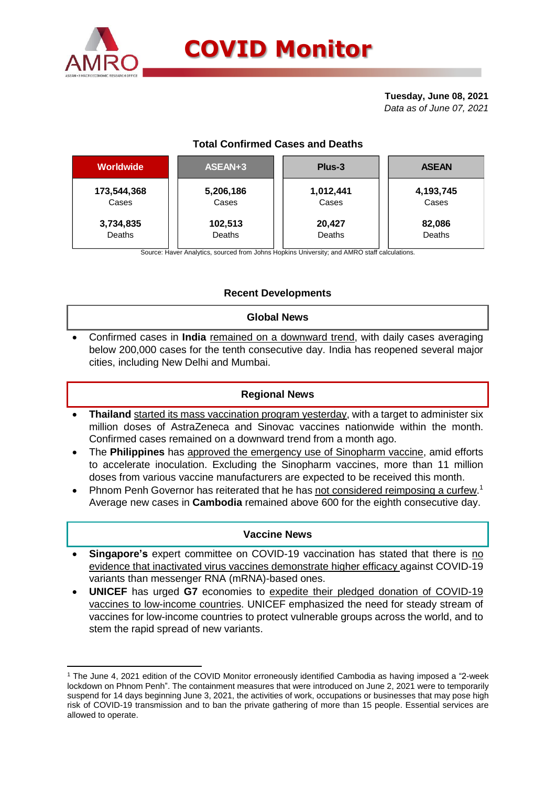

**.** 

# **COVID Monitor**

**Tuesday, June 08, 2021** *Data as of June 07, 2021*

# **Total Confirmed Cases and Deaths**

| <b>Worldwide</b> | ASEAN+3   | Plus-3    | <b>ASEAN</b> |  |  |
|------------------|-----------|-----------|--------------|--|--|
| 173,544,368      | 5,206,186 | 1,012,441 | 4,193,745    |  |  |
| Cases            | Cases     | Cases     | Cases        |  |  |
| 3,734,835        | 102,513   | 20,427    | 82,086       |  |  |
| Deaths           | Deaths    | Deaths    | Deaths       |  |  |

Source: Haver Analytics, sourced from Johns Hopkins University; and AMRO staff calculations.

# **Recent Developments**

## **Global News**

 Confirmed cases in **India** remained on a downward trend, with daily cases averaging below 200,000 cases for the tenth consecutive day. India has reopened several major cities, including New Delhi and Mumbai.

#### **Regional News**

- **Thailand** started its mass vaccination program yesterday, with a target to administer six million doses of AstraZeneca and Sinovac vaccines nationwide within the month. Confirmed cases remained on a downward trend from a month ago.
- The **Philippines** has approved the emergency use of Sinopharm vaccine, amid efforts to accelerate inoculation. Excluding the Sinopharm vaccines, more than 11 million doses from various vaccine manufacturers are expected to be received this month.
- Phnom Penh Governor has reiterated that he has not considered reimposing a curfew.<sup>1</sup> Average new cases in **Cambodia** remained above 600 for the eighth consecutive day.

#### **Vaccine News**

- **Singapore's** expert committee on COVID-19 vaccination has stated that there is no evidence that inactivated virus vaccines demonstrate higher efficacy against COVID-19 variants than messenger RNA (mRNA)-based ones.
- **UNICEF** has urged **G7** economies to expedite their pledged donation of COVID-19 vaccines to low-income countries. UNICEF emphasized the need for steady stream of vaccines for low-income countries to protect vulnerable groups across the world, and to stem the rapid spread of new variants.

<sup>1</sup> The June 4, 2021 edition of the COVID Monitor erroneously identified Cambodia as having imposed a "2-week lockdown on Phnom Penh". The containment measures that were introduced on June 2, 2021 were to temporarily suspend for 14 days beginning June 3, 2021, the activities of work, occupations or businesses that may pose high risk of COVID-19 transmission and to ban the private gathering of more than 15 people. Essential services are allowed to operate.